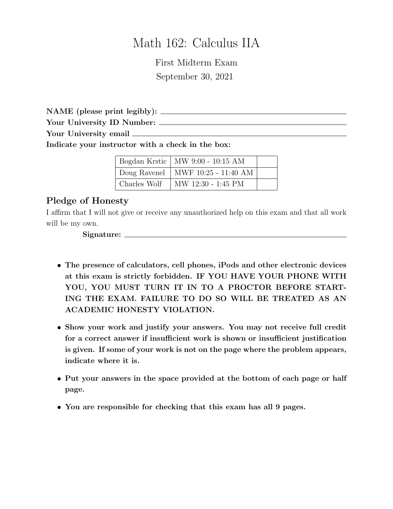## Math 162: Calculus IIA

First Midterm Exam September 30, 2021

NAME (please print legibly): Your University ID Number: Your University email

Indicate your instructor with a check in the box:

|              | Bogdan Krstic   MW 9:00 - 10:15 AM  |  |
|--------------|-------------------------------------|--|
|              | Doug Ravenel   MWF 10:25 - 11:40 AM |  |
| Charles Wolf | MW 12:30 - 1:45 PM                  |  |

#### Pledge of Honesty

I affirm that I will not give or receive any unauthorized help on this exam and that all work will be my own.

Signature:

- The presence of calculators, cell phones, iPods and other electronic devices at this exam is strictly forbidden. IF YOU HAVE YOUR PHONE WITH YOU, YOU MUST TURN IT IN TO A PROCTOR BEFORE START-ING THE EXAM. FAILURE TO DO SO WILL BE TREATED AS AN ACADEMIC HONESTY VIOLATION.
- Show your work and justify your answers. You may not receive full credit for a correct answer if insufficient work is shown or insufficient justification is given. If some of your work is not on the page where the problem appears, indicate where it is.
- Put your answers in the space provided at the bottom of each page or half page.
- You are responsible for checking that this exam has all 9 pages.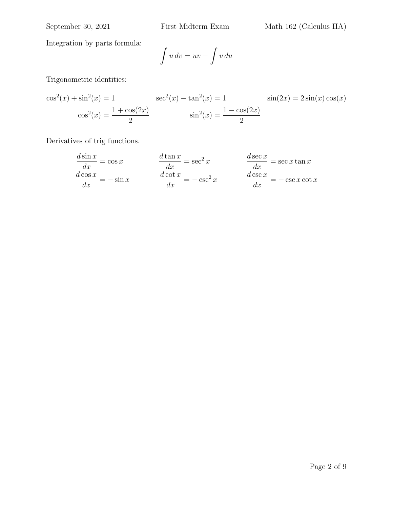Integration by parts formula:

$$
\int u\,dv = uv - \int v\,du
$$

Trigonometric identities:

$$
\cos^{2}(x) + \sin^{2}(x) = 1 \qquad \sec^{2}(x) - \tan^{2}(x) = 1 \qquad \sin(2x) = 2\sin(x)\cos(x)
$$

$$
\cos^{2}(x) = \frac{1 + \cos(2x)}{2} \qquad \sin^{2}(x) = \frac{1 - \cos(2x)}{2}
$$

Derivatives of trig functions.

$$
\frac{d \sin x}{dx} = \cos x \qquad \qquad \frac{d \tan x}{dx} = \sec^2 x \qquad \qquad \frac{d \sec x}{dx} = \sec x \tan x
$$

$$
\frac{d \cos x}{dx} = -\sin x \qquad \qquad \frac{d \cot x}{dx} = -\csc^2 x \qquad \qquad \frac{d \csc x}{dx} = -\csc x \cot x
$$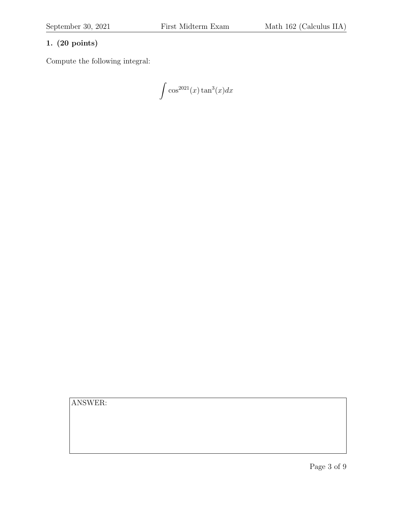Compute the following integral:

 $\int \cos^{2021}(x) \tan^3(x) dx$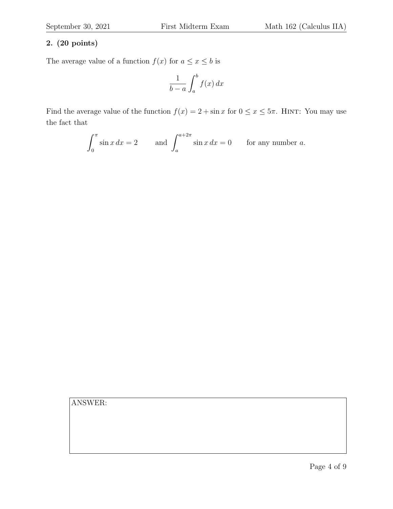The average value of a function  $f(x)$  for  $a \leq x \leq b$  is

$$
\frac{1}{b-a} \int_{a}^{b} f(x) \, dx
$$

Find the average value of the function  $f(x) = 2 + \sin x$  for  $0 \le x \le 5\pi$ . HINT: You may use the fact that

$$
\int_0^\pi \sin x \, dx = 2 \qquad \text{and } \int_a^{a+2\pi} \sin x \, dx = 0 \qquad \text{for any number } a.
$$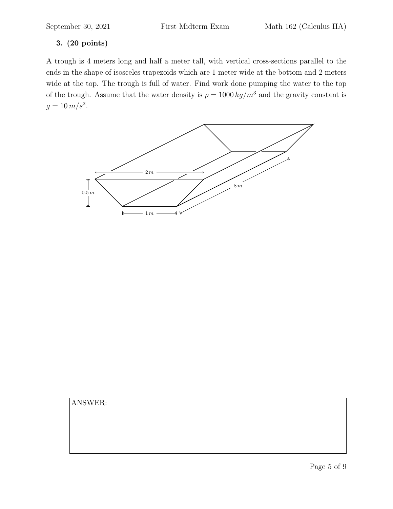A trough is 4 meters long and half a meter tall, with vertical cross-sections parallel to the ends in the shape of isosceles trapezoids which are 1 meter wide at the bottom and 2 meters wide at the top. The trough is full of water. Find work done pumping the water to the top of the trough. Assume that the water density is  $\rho = 1000 \frac{kg}{m^3}$  and the gravity constant is  $g = 10 \, m/s^2$ .

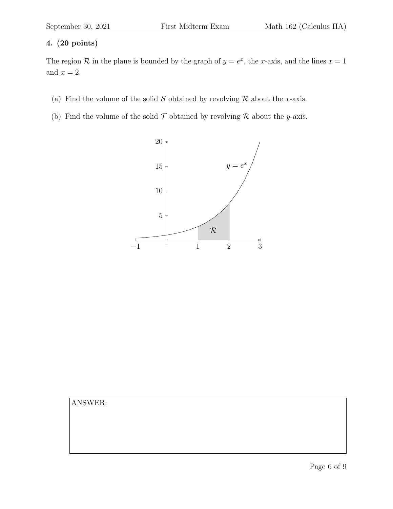The region  $\mathcal R$  in the plane is bounded by the graph of  $y = e^x$ , the x-axis, and the lines  $x = 1$ and  $x = 2$ .

- (a) Find the volume of the solid S obtained by revolving R about the x-axis.
- (b) Find the volume of the solid  $\mathcal T$  obtained by revolving  $\mathcal R$  about the *y*-axis.



| ANSWER: |  |  |  |
|---------|--|--|--|
|         |  |  |  |
|         |  |  |  |
|         |  |  |  |
|         |  |  |  |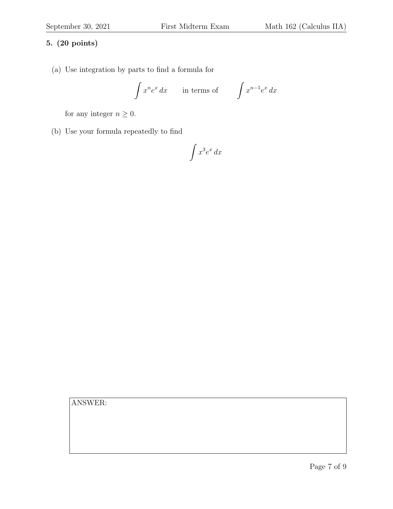(a) Use integration by parts to find a formula for

$$
\int x^n e^x dx \qquad \text{in terms of} \qquad \int x^{n-1} e^x dx
$$

for any integer  $n \geq 0$ .

(b) Use your formula repeatedly to find

# $\int x^3 e^x dx$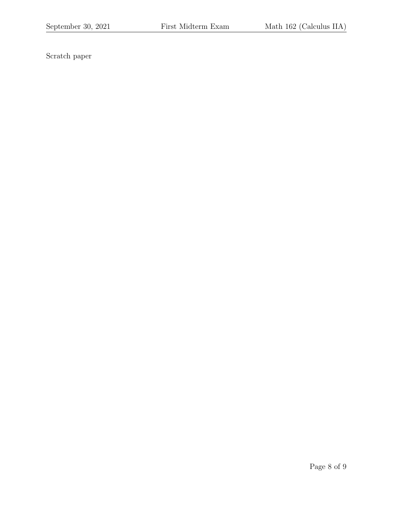Scratch paper